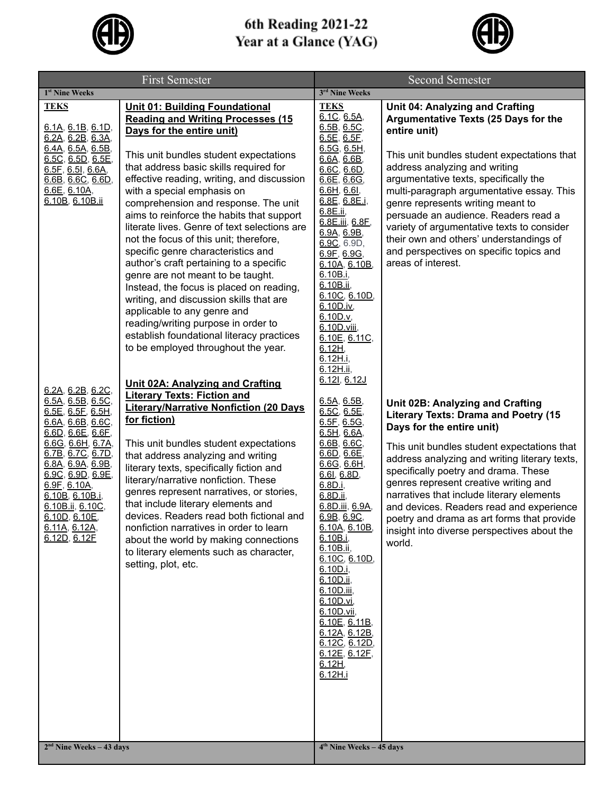

## 6th Reading 2021-22<br>Year at a Glance (YAG)



| <b>First Semester</b>                                                                                                                                                                                                                                                                                                                                                                                                                                                                                      |                                                                                                                                                                                                                                                                                                                                                                                                                                                                                                                                                                                                                                                                                                                                                                                                                                                                                                                                                                                                                                                                                                                                                                                                                                                                                                                                                                                                                                           | <b>Second Semester</b>                                                                                                                                                                                                                                                                                                                                                                                                                                                                                                                                                                                                                                                                                                                                                                                                |                                                                                                                                                                                                                                                                                                                                                                                                                                                                                                                                                                                                                                                                                                                                                                                                                                                                                                                                                                                                              |  |
|------------------------------------------------------------------------------------------------------------------------------------------------------------------------------------------------------------------------------------------------------------------------------------------------------------------------------------------------------------------------------------------------------------------------------------------------------------------------------------------------------------|-------------------------------------------------------------------------------------------------------------------------------------------------------------------------------------------------------------------------------------------------------------------------------------------------------------------------------------------------------------------------------------------------------------------------------------------------------------------------------------------------------------------------------------------------------------------------------------------------------------------------------------------------------------------------------------------------------------------------------------------------------------------------------------------------------------------------------------------------------------------------------------------------------------------------------------------------------------------------------------------------------------------------------------------------------------------------------------------------------------------------------------------------------------------------------------------------------------------------------------------------------------------------------------------------------------------------------------------------------------------------------------------------------------------------------------------|-----------------------------------------------------------------------------------------------------------------------------------------------------------------------------------------------------------------------------------------------------------------------------------------------------------------------------------------------------------------------------------------------------------------------------------------------------------------------------------------------------------------------------------------------------------------------------------------------------------------------------------------------------------------------------------------------------------------------------------------------------------------------------------------------------------------------|--------------------------------------------------------------------------------------------------------------------------------------------------------------------------------------------------------------------------------------------------------------------------------------------------------------------------------------------------------------------------------------------------------------------------------------------------------------------------------------------------------------------------------------------------------------------------------------------------------------------------------------------------------------------------------------------------------------------------------------------------------------------------------------------------------------------------------------------------------------------------------------------------------------------------------------------------------------------------------------------------------------|--|
| 1 <sup>st</sup> Nine Weeks                                                                                                                                                                                                                                                                                                                                                                                                                                                                                 |                                                                                                                                                                                                                                                                                                                                                                                                                                                                                                                                                                                                                                                                                                                                                                                                                                                                                                                                                                                                                                                                                                                                                                                                                                                                                                                                                                                                                                           | 3rd Nine Weeks                                                                                                                                                                                                                                                                                                                                                                                                                                                                                                                                                                                                                                                                                                                                                                                                        |                                                                                                                                                                                                                                                                                                                                                                                                                                                                                                                                                                                                                                                                                                                                                                                                                                                                                                                                                                                                              |  |
| <b>TEKS</b><br>6.1A, 6.1B, 6.1D,<br>6.2A, 6.2B, 6.3A,<br>6.4A, 6.5A, 6.5B,<br>$6.5C$ , $6.5D$ , $6.5E$ ,<br>6.5F, 6.5I, 6.6A,<br>6.6B, 6.6C, 6.6D,<br>6.6E, 6.10A,<br>6.10B, 6.10B.ii<br>6.2A, 6.2B, 6.2C,<br>6.5A, 6.5B, 6.5C,<br>6.5E, 6.5F, 6.5H,<br>6.6A, 6.6B, 6.6C,<br>6.6D, 6.6E, 6.6F,<br>6.6G, 6.6H, 6.7A,<br><u>6.7B, 6.7C, 6.7D, </u><br>6.8A, 6.9A, 6.9B,<br>6.9C, 6.9D, 6.9E,<br>6.9F, 6.10A,<br>6.10B, 6.10B.i,<br>6.10B.ii, 6.10C,<br><u>6.10D, 6.10E,</u><br>6.11A, 6.12A,<br>6.12D, 6.12F | <b>Unit 01: Building Foundational</b><br><b>Reading and Writing Processes (15)</b><br>Days for the entire unit)<br>This unit bundles student expectations<br>that address basic skills required for<br>effective reading, writing, and discussion<br>with a special emphasis on<br>comprehension and response. The unit<br>aims to reinforce the habits that support<br>literate lives. Genre of text selections are<br>not the focus of this unit; therefore,<br>specific genre characteristics and<br>author's craft pertaining to a specific<br>genre are not meant to be taught.<br>Instead, the focus is placed on reading,<br>writing, and discussion skills that are<br>applicable to any genre and<br>reading/writing purpose in order to<br>establish foundational literacy practices<br>to be employed throughout the year.<br>Unit 02A: Analyzing and Crafting<br><b>Literary Texts: Fiction and</b><br><b>Literary/Narrative Nonfiction (20 Days)</b><br>for fiction)<br>This unit bundles student expectations<br>that address analyzing and writing<br>literary texts, specifically fiction and<br>literary/narrative nonfiction. These<br>genres represent narratives, or stories,<br>that include literary elements and<br>devices. Readers read both fictional and<br>nonfiction narratives in order to learn<br>about the world by making connections<br>to literary elements such as character,<br>setting, plot, etc. | <b>TEKS</b><br>6.1C, 6.5A,<br>6.5B, 6.5C,<br>6.5E, 6.5E,<br>6.5G, 6.5H,<br>6.6A, 6.6B,<br>6.6C, 6.6D,<br>6.6E, 6.6G,<br>6.6H, 6.6I,<br>6.8E, 6.8E.i,<br>6.8E.ii,<br>6.8E.iii, 6.8F,<br>6.9A, 6.9B,<br>6.9C, 6.9D,<br>6.9F, 6.9G,<br>6.10A, 6.10B,<br>6.10B.i.<br>6.10B.ii,<br>6.10C, 6.10D,<br>6.10D.iv,<br>6.10D.v,<br>6.10D.viii,<br>6.10E, 6.11C,<br><u>6.12H,</u><br>6.12H.i,<br>6.12H.ii,<br>6.121, 6.12J<br>6.5A, 6.5B,<br>6.5C, 6.5E,<br>6.5F, 6.5G,<br>6.5H, 6.6A,<br>6.6B, 6.6C,<br>6.6D, 6.6E,<br>6.6G, 6.6H,<br>6.6l, 6.8D,<br>6.8D.i,<br>6.8D.ii,<br>6.8D.iii, 6.9A,<br>6.9B, 6.9C,<br>6.10A, 6.10B,<br>6.10B.i.<br>6.10B.ii,<br>6.10C, 6.10D,<br>6.10D.i,<br>6.10D.ii,<br>6.10D.iii,<br>6.10D.vi,<br>6.10D.vii,<br>6.10E, 6.11B,<br>6.12A, 6.12B,<br>6.12C, 6.12D,<br>6.12E, 6.12F,<br>6.12H,<br>6.12H.i | <b>Unit 04: Analyzing and Crafting</b><br>Argumentative Texts (25 Days for the<br>entire unit)<br>This unit bundles student expectations that<br>address analyzing and writing<br>argumentative texts, specifically the<br>multi-paragraph argumentative essay. This<br>genre represents writing meant to<br>persuade an audience. Readers read a<br>variety of argumentative texts to consider<br>their own and others' understandings of<br>and perspectives on specific topics and<br>areas of interest.<br>Unit 02B: Analyzing and Crafting<br><b>Literary Texts: Drama and Poetry (15</b><br>Days for the entire unit)<br>This unit bundles student expectations that<br>address analyzing and writing literary texts,<br>specifically poetry and drama. These<br>genres represent creative writing and<br>narratives that include literary elements<br>and devices. Readers read and experience<br>poetry and drama as art forms that provide<br>insight into diverse perspectives about the<br>world. |  |
| $2nd$ Nine Weeks - 43 days                                                                                                                                                                                                                                                                                                                                                                                                                                                                                 |                                                                                                                                                                                                                                                                                                                                                                                                                                                                                                                                                                                                                                                                                                                                                                                                                                                                                                                                                                                                                                                                                                                                                                                                                                                                                                                                                                                                                                           |                                                                                                                                                                                                                                                                                                                                                                                                                                                                                                                                                                                                                                                                                                                                                                                                                       | 4 <sup>th</sup> Nine Weeks - 45 days                                                                                                                                                                                                                                                                                                                                                                                                                                                                                                                                                                                                                                                                                                                                                                                                                                                                                                                                                                         |  |